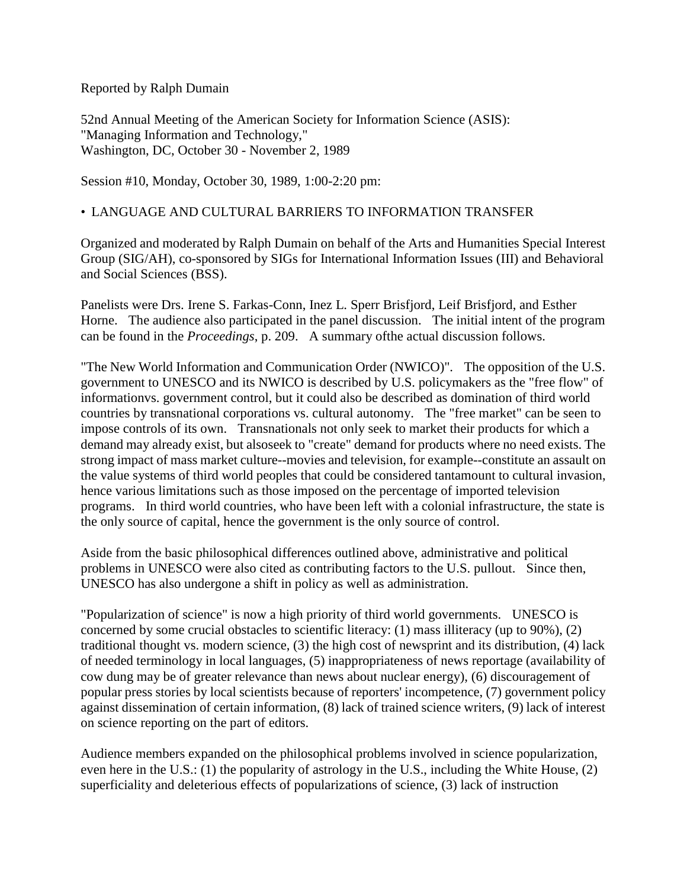Reported by Ralph Dumain

52nd Annual Meeting of the American Society for Information Science (ASIS): "Managing Information and Technology," Washington, DC, October 30 - November 2, 1989

Session #10, Monday, October 30, 1989, 1:00-2:20 pm:

## •LANGUAGE AND CULTURAL BARRIERS TO INFORMATION TRANSFER

Organized and moderated by Ralph Dumain on behalf of the Arts and Humanities Special Interest Group (SIG/AH), co-sponsored by SIGs for International Information Issues (III) and Behavioral and Social Sciences (BSS).

Panelists were Drs. Irene S. Farkas-Conn, Inez L. Sperr Brisfjord, Leif Brisfjord, and Esther Horne. The audience also participated in the panel discussion. The initial intent of the program can be found in the *Proceedings*, p. 209. A summary ofthe actual discussion follows.

"The New World Information and Communication Order (NWICO)". The opposition of the U.S. government to UNESCO and its NWICO is described by U.S. policymakers as the "free flow" of informationvs. government control, but it could also be described as domination of third world countries by transnational corporations vs. cultural autonomy. The "free market" can be seen to impose controls of its own. Transnationals not only seek to market their products for which a demand may already exist, but alsoseek to "create" demand for products where no need exists. The strong impact of mass market culture--movies and television, for example--constitute an assault on the value systems of third world peoples that could be considered tantamount to cultural invasion, hence various limitations such as those imposed on the percentage of imported television programs. In third world countries, who have been left with a colonial infrastructure, the state is the only source of capital, hence the government is the only source of control.

Aside from the basic philosophical differences outlined above, administrative and political problems in UNESCO were also cited as contributing factors to the U.S. pullout. Since then, UNESCO has also undergone a shift in policy as well as administration.

"Popularization of science" is now a high priority of third world governments. UNESCO is concerned by some crucial obstacles to scientific literacy: (1) mass illiteracy (up to 90%), (2) traditional thought vs. modern science, (3) the high cost of newsprint and its distribution, (4) lack of needed terminology in local languages, (5) inappropriateness of news reportage (availability of cow dung may be of greater relevance than news about nuclear energy), (6) discouragement of popular press stories by local scientists because of reporters' incompetence, (7) government policy against dissemination of certain information, (8) lack of trained science writers, (9) lack of interest on science reporting on the part of editors.

Audience members expanded on the philosophical problems involved in science popularization, even here in the U.S.: (1) the popularity of astrology in the U.S., including the White House, (2) superficiality and deleterious effects of popularizations of science, (3) lack of instruction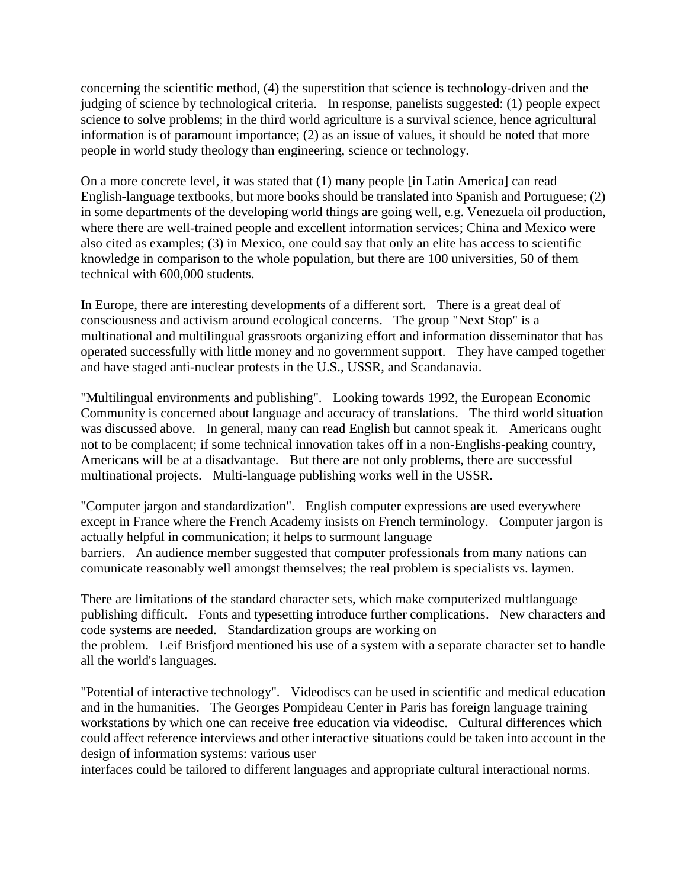concerning the scientific method, (4) the superstition that science is technology-driven and the judging of science by technological criteria. In response, panelists suggested: (1) people expect science to solve problems; in the third world agriculture is a survival science, hence agricultural information is of paramount importance; (2) as an issue of values, it should be noted that more people in world study theology than engineering, science or technology.

On a more concrete level, it was stated that (1) many people [in Latin America] can read English-language textbooks, but more books should be translated into Spanish and Portuguese; (2) in some departments of the developing world things are going well, e.g. Venezuela oil production, where there are well-trained people and excellent information services; China and Mexico were also cited as examples; (3) in Mexico, one could say that only an elite has access to scientific knowledge in comparison to the whole population, but there are 100 universities, 50 of them technical with 600,000 students.

In Europe, there are interesting developments of a different sort. There is a great deal of consciousness and activism around ecological concerns. The group "Next Stop" is a multinational and multilingual grassroots organizing effort and information disseminator that has operated successfully with little money and no government support. They have camped together and have staged anti-nuclear protests in the U.S., USSR, and Scandanavia.

"Multilingual environments and publishing". Looking towards 1992, the European Economic Community is concerned about language and accuracy of translations. The third world situation was discussed above. In general, many can read English but cannot speak it. Americans ought not to be complacent; if some technical innovation takes off in a non-Englishs-peaking country, Americans will be at a disadvantage. But there are not only problems, there are successful multinational projects. Multi-language publishing works well in the USSR.

"Computer jargon and standardization". English computer expressions are used everywhere except in France where the French Academy insists on French terminology. Computer jargon is actually helpful in communication; it helps to surmount language barriers. An audience member suggested that computer professionals from many nations can comunicate reasonably well amongst themselves; the real problem is specialists vs. laymen.

There are limitations of the standard character sets, which make computerized multlanguage publishing difficult. Fonts and typesetting introduce further complications. New characters and code systems are needed. Standardization groups are working on the problem. Leif Brisfjord mentioned his use of a system with a separate character set to handle all the world's languages.

"Potential of interactive technology". Videodiscs can be used in scientific and medical education and in the humanities. The Georges Pompideau Center in Paris has foreign language training workstations by which one can receive free education via videodisc. Cultural differences which could affect reference interviews and other interactive situations could be taken into account in the design of information systems: various user

interfaces could be tailored to different languages and appropriate cultural interactional norms.